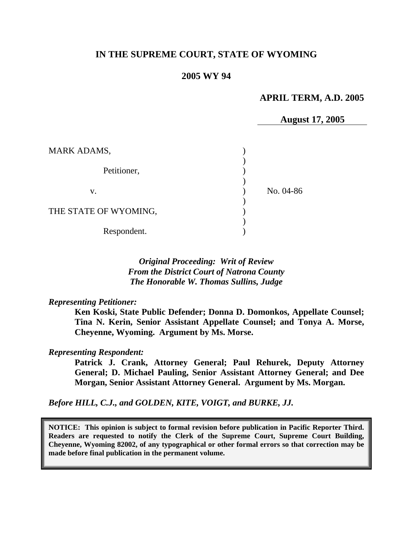### **IN THE SUPREME COURT, STATE OF WYOMING**

#### **2005 WY 94**

#### **APRIL TERM, A.D. 2005**

**August 17, 2005** 

| <b>MARK ADAMS,</b>    |           |
|-----------------------|-----------|
| Petitioner,           |           |
| V.                    | No. 04-86 |
| THE STATE OF WYOMING, |           |
| Respondent.           |           |

### *Original Proceeding: Writ of Review From the District Court of Natrona County The Honorable W. Thomas Sullins, Judge*

*Representing Petitioner:* 

**Ken Koski, State Public Defender; Donna D. Domonkos, Appellate Counsel; Tina N. Kerin, Senior Assistant Appellate Counsel; and Tonya A. Morse, Cheyenne, Wyoming. Argument by Ms. Morse.** 

*Representing Respondent:* 

**Patrick J. Crank, Attorney General; Paul Rehurek, Deputy Attorney General; D. Michael Pauling, Senior Assistant Attorney General; and Dee Morgan, Senior Assistant Attorney General. Argument by Ms. Morgan.** 

*Before HILL, C.J., and GOLDEN, KITE, VOIGT, and BURKE, JJ.* 

**NOTICE: This opinion is subject to formal revision before publication in Pacific Reporter Third. Readers are requested to notify the Clerk of the Supreme Court, Supreme Court Building, Cheyenne, Wyoming 82002, of any typographical or other formal errors so that correction may be made before final publication in the permanent volume.**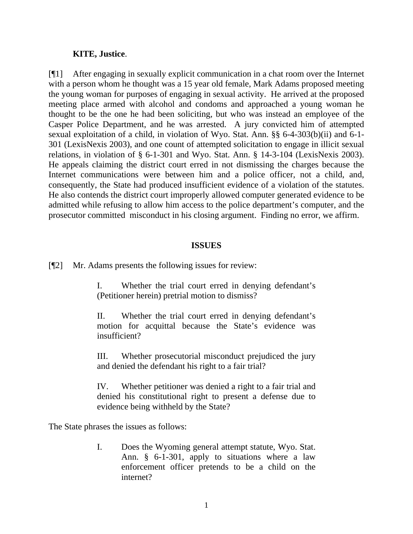#### **KITE, Justice**.

[¶1] After engaging in sexually explicit communication in a chat room over the Internet with a person whom he thought was a 15 year old female, Mark Adams proposed meeting the young woman for purposes of engaging in sexual activity. He arrived at the proposed meeting place armed with alcohol and condoms and approached a young woman he thought to be the one he had been soliciting, but who was instead an employee of the Casper Police Department, and he was arrested. A jury convicted him of attempted sexual exploitation of a child, in violation of Wyo. Stat. Ann. §§ 6-4-303(b)(ii) and 6-1- 301 (LexisNexis 2003), and one count of attempted solicitation to engage in illicit sexual relations, in violation of § 6-1-301 and Wyo. Stat. Ann. § 14-3-104 (LexisNexis 2003). He appeals claiming the district court erred in not dismissing the charges because the Internet communications were between him and a police officer, not a child, and, consequently, the State had produced insufficient evidence of a violation of the statutes. He also contends the district court improperly allowed computer generated evidence to be admitted while refusing to allow him access to the police department's computer, and the prosecutor committed misconduct in his closing argument. Finding no error, we affirm.

#### **ISSUES**

[¶2] Mr. Adams presents the following issues for review:

I. Whether the trial court erred in denying defendant's (Petitioner herein) pretrial motion to dismiss?

II. Whether the trial court erred in denying defendant's motion for acquittal because the State's evidence was insufficient?

III. Whether prosecutorial misconduct prejudiced the jury and denied the defendant his right to a fair trial?

IV. Whether petitioner was denied a right to a fair trial and denied his constitutional right to present a defense due to evidence being withheld by the State?

The State phrases the issues as follows:

I. Does the Wyoming general attempt statute, Wyo. Stat. Ann. § 6-1-301, apply to situations where a law enforcement officer pretends to be a child on the internet?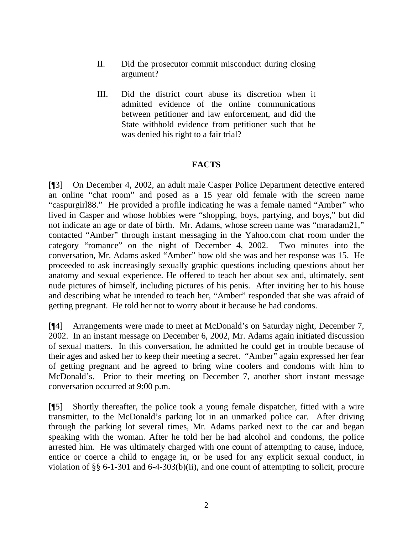- II. Did the prosecutor commit misconduct during closing argument?
- III. Did the district court abuse its discretion when it admitted evidence of the online communications between petitioner and law enforcement, and did the State withhold evidence from petitioner such that he was denied his right to a fair trial?

# **FACTS**

[¶3] On December 4, 2002, an adult male Casper Police Department detective entered an online "chat room" and posed as a 15 year old female with the screen name "caspurgirl88." He provided a profile indicating he was a female named "Amber" who lived in Casper and whose hobbies were "shopping, boys, partying, and boys," but did not indicate an age or date of birth. Mr. Adams, whose screen name was "maradam21," contacted "Amber" through instant messaging in the Yahoo.com chat room under the category "romance" on the night of December 4, 2002. Two minutes into the conversation, Mr. Adams asked "Amber" how old she was and her response was 15. He proceeded to ask increasingly sexually graphic questions including questions about her anatomy and sexual experience. He offered to teach her about sex and, ultimately, sent nude pictures of himself, including pictures of his penis. After inviting her to his house and describing what he intended to teach her, "Amber" responded that she was afraid of getting pregnant. He told her not to worry about it because he had condoms.

[¶4] Arrangements were made to meet at McDonald's on Saturday night, December 7, 2002. In an instant message on December 6, 2002, Mr. Adams again initiated discussion of sexual matters. In this conversation, he admitted he could get in trouble because of their ages and asked her to keep their meeting a secret. "Amber" again expressed her fear of getting pregnant and he agreed to bring wine coolers and condoms with him to McDonald's. Prior to their meeting on December 7, another short instant message conversation occurred at 9:00 p.m.

[¶5] Shortly thereafter, the police took a young female dispatcher, fitted with a wire transmitter, to the McDonald's parking lot in an unmarked police car. After driving through the parking lot several times, Mr. Adams parked next to the car and began speaking with the woman. After he told her he had alcohol and condoms, the police arrested him. He was ultimately charged with one count of attempting to cause, induce, entice or coerce a child to engage in, or be used for any explicit sexual conduct, in violation of §§ 6-1-301 and 6-4-303(b)(ii), and one count of attempting to solicit, procure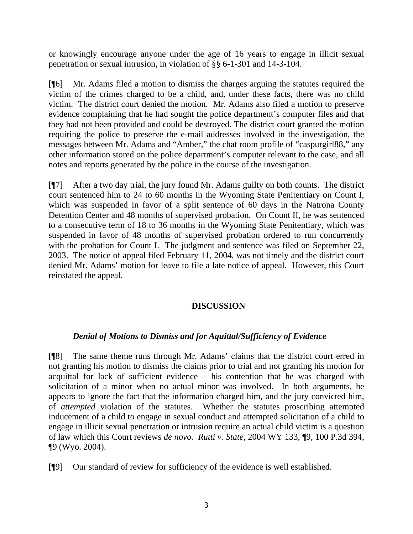or knowingly encourage anyone under the age of 16 years to engage in illicit sexual penetration or sexual intrusion, in violation of §§ 6-1-301 and 14-3-104.

[¶6] Mr. Adams filed a motion to dismiss the charges arguing the statutes required the victim of the crimes charged to be a child, and, under these facts, there was no child victim. The district court denied the motion. Mr. Adams also filed a motion to preserve evidence complaining that he had sought the police department's computer files and that they had not been provided and could be destroyed. The district court granted the motion requiring the police to preserve the e-mail addresses involved in the investigation, the messages between Mr. Adams and "Amber," the chat room profile of "caspurgirl88," any other information stored on the police department's computer relevant to the case, and all notes and reports generated by the police in the course of the investigation.

[¶7] After a two day trial, the jury found Mr. Adams guilty on both counts. The district court sentenced him to 24 to 60 months in the Wyoming State Penitentiary on Count I, which was suspended in favor of a split sentence of 60 days in the Natrona County Detention Center and 48 months of supervised probation. On Count II, he was sentenced to a consecutive term of 18 to 36 months in the Wyoming State Penitentiary, which was suspended in favor of 48 months of supervised probation ordered to run concurrently with the probation for Count I. The judgment and sentence was filed on September 22, 2003. The notice of appeal filed February 11, 2004, was not timely and the district court denied Mr. Adams' motion for leave to file a late notice of appeal. However, this Court reinstated the appeal.

# **DISCUSSION**

# *Denial of Motions to Dismiss and for Aquittal/Sufficiency of Evidence*

[¶8] The same theme runs through Mr. Adams' claims that the district court erred in not granting his motion to dismiss the claims prior to trial and not granting his motion for acquittal for lack of sufficient evidence – his contention that he was charged with solicitation of a minor when no actual minor was involved. In both arguments, he appears to ignore the fact that the information charged him, and the jury convicted him, of *attempted* violation of the statutes. Whether the statutes proscribing attempted inducement of a child to engage in sexual conduct and attempted solicitation of a child to engage in illicit sexual penetration or intrusion require an actual child victim is a question of law which this Court reviews *de novo. Rutti v. State,* 2004 WY 133, ¶9, 100 P.3d 394, ¶9 (Wyo. 2004).

[¶9] Our standard of review for sufficiency of the evidence is well established.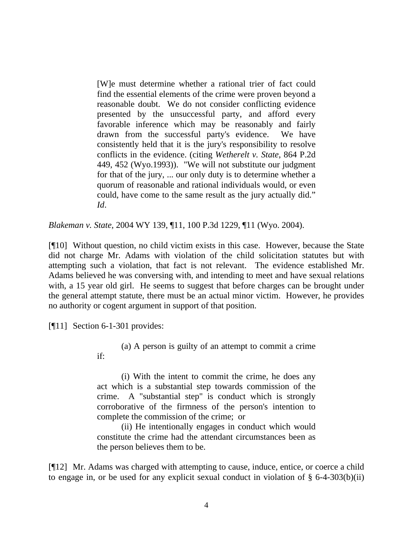[W]e must determine whether a rational trier of fact could find the essential elements of the crime were proven beyond a reasonable doubt. We do not consider conflicting evidence presented by the unsuccessful party, and afford every favorable inference which may be reasonably and fairly drawn from the successful party's evidence. We have consistently held that it is the jury's responsibility to resolve conflicts in the evidence. (citing *Wetherelt v. State*, 864 P.2d 449, 452 (Wyo.1993)). "We will not substitute our judgment for that of the jury, ... our only duty is to determine whether a quorum of reasonable and rational individuals would, or even could, have come to the same result as the jury actually did." *Id*.

*Blakeman v. State,* 2004 WY 139, ¶11, 100 P.3d 1229, ¶11 (Wyo. 2004).

[¶10] Without question, no child victim exists in this case. However, because the State did not charge Mr. Adams with violation of the child solicitation statutes but with attempting such a violation, that fact is not relevant. The evidence established Mr. Adams believed he was conversing with, and intending to meet and have sexual relations with, a 15 year old girl. He seems to suggest that before charges can be brought under the general attempt statute, there must be an actual minor victim. However, he provides no authority or cogent argument in support of that position.

[¶11] Section 6-1-301 provides:

(a) A person is guilty of an attempt to commit a crime if:

(i) With the intent to commit the crime, he does any act which is a substantial step towards commission of the crime. A "substantial step" is conduct which is strongly corroborative of the firmness of the person's intention to complete the commission of the crime; or

(ii) He intentionally engages in conduct which would constitute the crime had the attendant circumstances been as the person believes them to be.

[¶12] Mr. Adams was charged with attempting to cause, induce, entice, or coerce a child to engage in, or be used for any explicit sexual conduct in violation of § 6-4-303(b)(ii)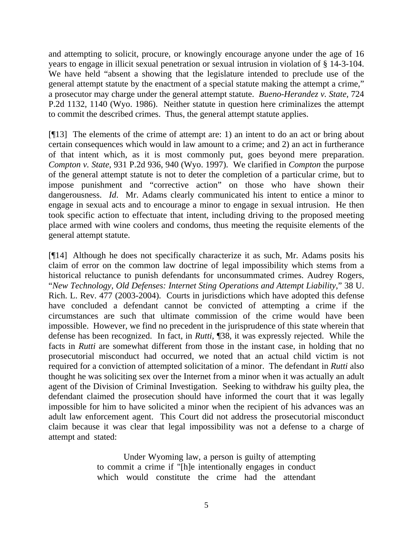and attempting to solicit, procure, or knowingly encourage anyone under the age of 16 years to engage in illicit sexual penetration or sexual intrusion in violation of § 14-3-104. We have held "absent a showing that the legislature intended to preclude use of the general attempt statute by the enactment of a special statute making the attempt a crime," a prosecutor may charge under the general attempt statute. *Bueno-Herandez v. State,* 724 P.2d 1132, 1140 (Wyo. 1986). Neither statute in question here criminalizes the attempt to commit the described crimes. Thus, the general attempt statute applies.

[¶13] The elements of the crime of attempt are: 1) an intent to do an act or bring about certain consequences which would in law amount to a crime; and 2) an act in furtherance of that intent which, as it is most commonly put, goes beyond mere preparation. *Compton v. State,* 931 P.2d 936, 940 (Wyo. 1997). We clarified in *Compton* the purpose of the general attempt statute is not to deter the completion of a particular crime, but to impose punishment and "corrective action" on those who have shown their dangerousness. *Id*. Mr. Adams clearly communicated his intent to entice a minor to engage in sexual acts and to encourage a minor to engage in sexual intrusion. He then took specific action to effectuate that intent, including driving to the proposed meeting place armed with wine coolers and condoms, thus meeting the requisite elements of the general attempt statute.

[¶14] Although he does not specifically characterize it as such, Mr. Adams posits his claim of error on the common law doctrine of legal impossibility which stems from a historical reluctance to punish defendants for unconsummated crimes. Audrey Rogers, "*New Technology, Old Defenses: Internet Sting Operations and Attempt Liability*," 38 U. Rich. L. Rev. 477 (2003-2004). Courts in jurisdictions which have adopted this defense have concluded a defendant cannot be convicted of attempting a crime if the circumstances are such that ultimate commission of the crime would have been impossible. However, we find no precedent in the jurisprudence of this state wherein that defense has been recognized. In fact, in *Rutti,* ¶38, it was expressly rejected. While the facts in *Rutti* are somewhat different from those in the instant case, in holding that no prosecutorial misconduct had occurred, we noted that an actual child victim is not required for a conviction of attempted solicitation of a minor. The defendant in *Rutti* also thought he was soliciting sex over the Internet from a minor when it was actually an adult agent of the Division of Criminal Investigation. Seeking to withdraw his guilty plea, the defendant claimed the prosecution should have informed the court that it was legally impossible for him to have solicited a minor when the recipient of his advances was an adult law enforcement agent. This Court did not address the prosecutorial misconduct claim because it was clear that legal impossibility was not a defense to a charge of attempt and stated:

> Under Wyoming law, a person is guilty of attempting to commit a crime if "[h]e intentionally engages in conduct which would constitute the crime had the attendant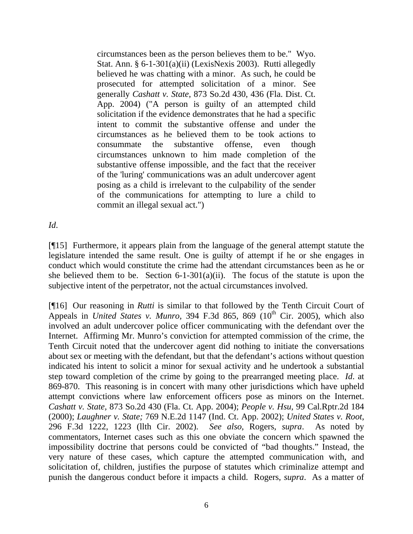circumstances been as the person believes them to be." Wyo. Stat. Ann. § 6-1-301(a)(ii) (LexisNexis 2003). Rutti allegedly believed he was chatting with a minor. As such, he could be prosecuted for attempted solicitation of a minor. See generally *Cashatt v. State*, 873 So.2d 430, 436 (Fla. Dist. Ct. App. 2004) ("A person is guilty of an attempted child solicitation if the evidence demonstrates that he had a specific intent to commit the substantive offense and under the circumstances as he believed them to be took actions to consummate the substantive offense, even though circumstances unknown to him made completion of the substantive offense impossible, and the fact that the receiver of the 'luring' communications was an adult undercover agent posing as a child is irrelevant to the culpability of the sender of the communications for attempting to lure a child to commit an illegal sexual act.")

*Id*.

[¶15] Furthermore, it appears plain from the language of the general attempt statute the legislature intended the same result. One is guilty of attempt if he or she engages in conduct which would constitute the crime had the attendant circumstances been as he or she believed them to be. Section 6-1-301(a)(ii). The focus of the statute is upon the subjective intent of the perpetrator, not the actual circumstances involved.

[¶16] Our reasoning in *Rutti* is similar to that followed by the Tenth Circuit Court of Appeals in *United States v. Munro*, 394 F.3d 865, 869 (10<sup>th</sup> Cir. 2005), which also involved an adult undercover police officer communicating with the defendant over the Internet. Affirming Mr. Munro's conviction for attempted commission of the crime, the Tenth Circuit noted that the undercover agent did nothing to initiate the conversations about sex or meeting with the defendant, but that the defendant's actions without question indicated his intent to solicit a minor for sexual activity and he undertook a substantial step toward completion of the crime by going to the prearranged meeting place. *Id*. at 869-870. This reasoning is in concert with many other jurisdictions which have upheld attempt convictions where law enforcement officers pose as minors on the Internet. *Cashatt v. State,* 873 So.2d 430 (Fla. Ct. App. 2004); *People v. Hsu,* 99 Cal.Rptr.2d 184 (2000); *Laughner v. State;* 769 N.E.2d 1147 (Ind. Ct. App. 2002); *United States v. Root,* 296 F.3d 1222, 1223 (llth Cir. 2002). *See also,* Rogers, *supra*. As noted by commentators, Internet cases such as this one obviate the concern which spawned the impossibility doctrine that persons could be convicted of "bad thoughts." Instead, the very nature of these cases, which capture the attempted communication with, and solicitation of, children, justifies the purpose of statutes which criminalize attempt and punish the dangerous conduct before it impacts a child. Rogers, *supra*. As a matter of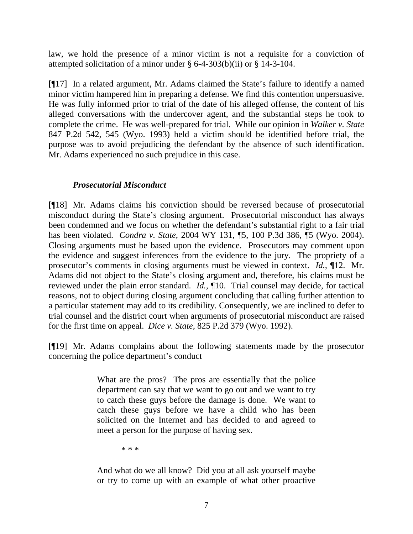law, we hold the presence of a minor victim is not a requisite for a conviction of attempted solicitation of a minor under § 6-4-303(b)(ii) or § 14-3-104.

[¶17] In a related argument, Mr. Adams claimed the State's failure to identify a named minor victim hampered him in preparing a defense. We find this contention unpersuasive. He was fully informed prior to trial of the date of his alleged offense, the content of his alleged conversations with the undercover agent, and the substantial steps he took to complete the crime. He was well-prepared for trial. While our opinion in *Walker v. State* 847 P.2d 542, 545 (Wyo. 1993) held a victim should be identified before trial, the purpose was to avoid prejudicing the defendant by the absence of such identification. Mr. Adams experienced no such prejudice in this case.

# *Prosecutorial Misconduct*

[¶18] Mr. Adams claims his conviction should be reversed because of prosecutorial misconduct during the State's closing argument. Prosecutorial misconduct has always been condemned and we focus on whether the defendant's substantial right to a fair trial has been violated. *Condra v. State*, 2004 WY 131, ¶5, 100 P.3d 386, ¶5 (Wyo. 2004). Closing arguments must be based upon the evidence. Prosecutors may comment upon the evidence and suggest inferences from the evidence to the jury. The propriety of a prosecutor's comments in closing arguments must be viewed in context. *Id.,* ¶12. Mr. Adams did not object to the State's closing argument and, therefore, his claims must be reviewed under the plain error standard*. Id.,* ¶10. Trial counsel may decide, for tactical reasons, not to object during closing argument concluding that calling further attention to a particular statement may add to its credibility. Consequently, we are inclined to defer to trial counsel and the district court when arguments of prosecutorial misconduct are raised for the first time on appeal. *Dice v. State,* 825 P.2d 379 (Wyo. 1992).

[¶19] Mr. Adams complains about the following statements made by the prosecutor concerning the police department's conduct

> What are the pros? The pros are essentially that the police department can say that we want to go out and we want to try to catch these guys before the damage is done. We want to catch these guys before we have a child who has been solicited on the Internet and has decided to and agreed to meet a person for the purpose of having sex.

> > \* \* \*

And what do we all know? Did you at all ask yourself maybe or try to come up with an example of what other proactive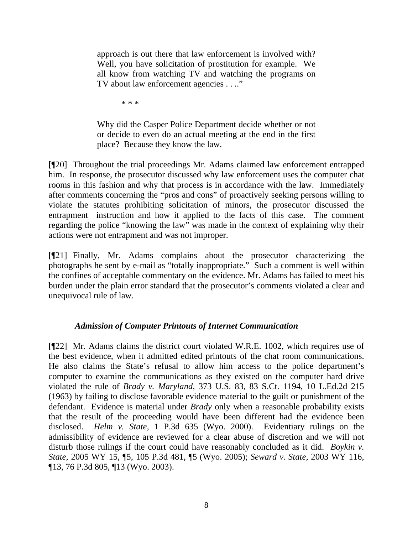approach is out there that law enforcement is involved with? Well, you have solicitation of prostitution for example. We all know from watching TV and watching the programs on TV about law enforcement agencies . . .."

\* \* \*

Why did the Casper Police Department decide whether or not or decide to even do an actual meeting at the end in the first place? Because they know the law.

[¶20] Throughout the trial proceedings Mr. Adams claimed law enforcement entrapped him. In response, the prosecutor discussed why law enforcement uses the computer chat rooms in this fashion and why that process is in accordance with the law. Immediately after comments concerning the "pros and cons" of proactively seeking persons willing to violate the statutes prohibiting solicitation of minors, the prosecutor discussed the entrapment instruction and how it applied to the facts of this case. The comment regarding the police "knowing the law" was made in the context of explaining why their actions were not entrapment and was not improper.

[¶21] Finally, Mr. Adams complains about the prosecutor characterizing the photographs he sent by e-mail as "totally inappropriate." Such a comment is well within the confines of acceptable commentary on the evidence. Mr. Adams has failed to meet his burden under the plain error standard that the prosecutor's comments violated a clear and unequivocal rule of law.

# *Admission of Computer Printouts of Internet Communication*

[¶22] Mr. Adams claims the district court violated W.R.E. 1002, which requires use of the best evidence, when it admitted edited printouts of the chat room communications. He also claims the State's refusal to allow him access to the police department's computer to examine the communications as they existed on the computer hard drive violated the rule of *Brady v. Maryland,* 373 U.S. 83, 83 S.Ct. 1194, 10 L.Ed.2d 215 (1963) by failing to disclose favorable evidence material to the guilt or punishment of the defendant. Evidence is material under *Brady* only when a reasonable probability exists that the result of the proceeding would have been different had the evidence been disclosed. *Helm v. State,* 1 P.3d 635 (Wyo. 2000). Evidentiary rulings on the admissibility of evidence are reviewed for a clear abuse of discretion and we will not disturb those rulings if the court could have reasonably concluded as it did. *Boykin v. State,* 2005 WY 15, ¶5, 105 P.3d 481, ¶5 (Wyo. 2005); *Seward v. State,* 2003 WY 116, ¶13, 76 P.3d 805, ¶13 (Wyo. 2003).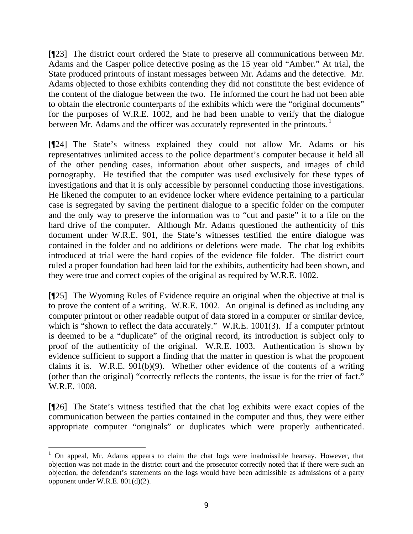[¶23] The district court ordered the State to preserve all communications between Mr. Adams and the Casper police detective posing as the 15 year old "Amber." At trial, the State produced printouts of instant messages between Mr. Adams and the detective. Mr. Adams objected to those exhibits contending they did not constitute the best evidence of the content of the dialogue between the two. He informed the court he had not been able to obtain the electronic counterparts of the exhibits which were the "original documents" for the purposes of W.R.E. 1002, and he had been unable to verify that the dialogue between Mr. Adams and the officer was accurately represented in the printouts.<sup>1</sup>

[¶24] The State's witness explained they could not allow Mr. Adams or his representatives unlimited access to the police department's computer because it held all of the other pending cases, information about other suspects, and images of child pornography. He testified that the computer was used exclusively for these types of investigations and that it is only accessible by personnel conducting those investigations. He likened the computer to an evidence locker where evidence pertaining to a particular case is segregated by saving the pertinent dialogue to a specific folder on the computer and the only way to preserve the information was to "cut and paste" it to a file on the hard drive of the computer. Although Mr. Adams questioned the authenticity of this document under W.R.E. 901, the State's witnesses testified the entire dialogue was contained in the folder and no additions or deletions were made. The chat log exhibits introduced at trial were the hard copies of the evidence file folder. The district court ruled a proper foundation had been laid for the exhibits, authenticity had been shown, and they were true and correct copies of the original as required by W.R.E. 1002.

[¶25] The Wyoming Rules of Evidence require an original when the objective at trial is to prove the content of a writing. W.R.E. 1002. An original is defined as including any computer printout or other readable output of data stored in a computer or similar device, which is "shown to reflect the data accurately." W.R.E. 1001(3). If a computer printout is deemed to be a "duplicate" of the original record, its introduction is subject only to proof of the authenticity of the original. W.R.E. 1003. Authentication is shown by evidence sufficient to support a finding that the matter in question is what the proponent claims it is. W.R.E. 901(b)(9). Whether other evidence of the contents of a writing (other than the original) "correctly reflects the contents, the issue is for the trier of fact." W.R.E. 1008.

[¶26] The State's witness testified that the chat log exhibits were exact copies of the communication between the parties contained in the computer and thus, they were either appropriate computer "originals" or duplicates which were properly authenticated.

 $\frac{1}{1}$  $1$  On appeal, Mr. Adams appears to claim the chat logs were inadmissible hearsay. However, that objection was not made in the district court and the prosecutor correctly noted that if there were such an objection, the defendant's statements on the logs would have been admissible as admissions of a party opponent under W.R.E. 801(d)(2).